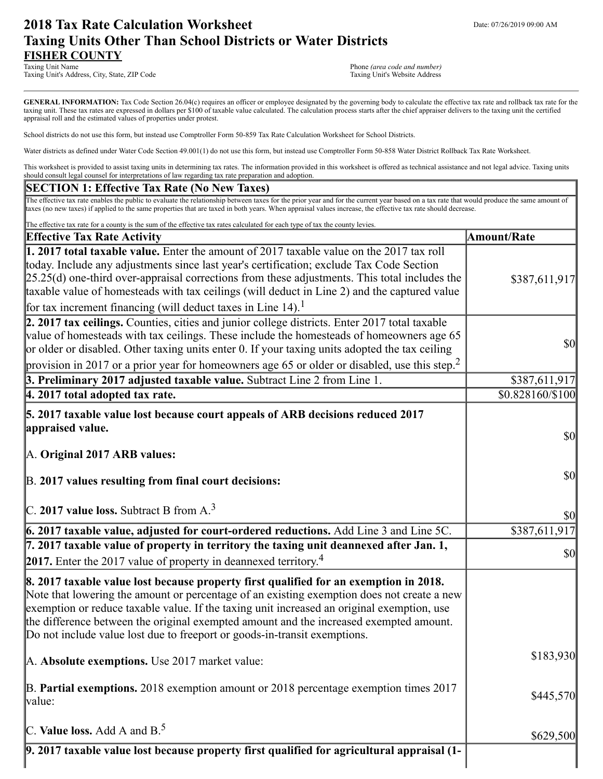# **2018 Tax Rate Calculation Worksheet** Department Date: 07/26/2019 09:00 AM **Taxing Units Other Than School Districts or Water Districts FISHER COUNTY**

Taxing Unit's Address, City, State, ZIP Code

Phone (area code and number)<br>Taxing Unit's Website Address

GENERAL INFORMATION: Tax Code Section 26.04(c) requires an officer or employee designated by the governing body to calculate the effective tax rate and rollback tax rate for the taxing unit. These tax rates are expressed in dollars per \$100 of taxable value calculated. The calculation process starts after the chief appraiser delivers to the taxing unit the certified appraisal roll and the estimated values of properties under protest.

School districts do not use this form, but instead use Comptroller Form 50-859 Tax Rate Calculation Worksheet for School Districts.

Water districts as defined under Water Code Section 49.001(1) do not use this form, but instead use Comptroller Form 50-858 Water District Rollback Tax Rate Worksheet.

This worksheet is provided to assist taxing units in determining tax rates. The information provided in this worksheet is offered as technical assistance and not legal advice. Taxing units should consult legal counsel for interpretations of law regarding tax rate preparation and adoption.

#### **SECTION 1: Effective Tax Rate (No New Taxes)**

The effective tax rate enables the public to evaluate the relationship between taxes for the prior year and for the current year based on a tax rate that would produce the same amount of taxes (no new taxes) if applied to the same properties that are taxed in both years. When appraisal values increase, the effective tax rate should decrease.

| The effective tax rate for a county is the sum of the effective tax rates calculated for each type of tax the county levies.                                                                                                                                                                                                                                                                                                                                         |                                     |
|----------------------------------------------------------------------------------------------------------------------------------------------------------------------------------------------------------------------------------------------------------------------------------------------------------------------------------------------------------------------------------------------------------------------------------------------------------------------|-------------------------------------|
| <b>Effective Tax Rate Activity</b>                                                                                                                                                                                                                                                                                                                                                                                                                                   | <b>Amount/Rate</b>                  |
| 1. 2017 total taxable value. Enter the amount of 2017 taxable value on the 2017 tax roll<br>today. Include any adjustments since last year's certification; exclude Tax Code Section<br>$[25.25(d)$ one-third over-appraisal corrections from these adjustments. This total includes the<br>taxable value of homesteads with tax ceilings (will deduct in Line 2) and the captured value<br>for tax increment financing (will deduct taxes in Line 14). <sup>1</sup> | \$387,611,917                       |
| 2. 2017 tax ceilings. Counties, cities and junior college districts. Enter 2017 total taxable<br>value of homesteads with tax ceilings. These include the homesteads of homeowners age 65<br>or older or disabled. Other taxing units enter 0. If your taxing units adopted the tax ceiling<br>provision in 2017 or a prior year for homeowners age 65 or older or disabled, use this step. <sup>2</sup>                                                             | \$0                                 |
| 3. Preliminary 2017 adjusted taxable value. Subtract Line 2 from Line 1.                                                                                                                                                                                                                                                                                                                                                                                             | \$387,611,917                       |
| 4. 2017 total adopted tax rate.                                                                                                                                                                                                                                                                                                                                                                                                                                      | \$0.828160/\$100                    |
| 5. 2017 taxable value lost because court appeals of ARB decisions reduced 2017<br>appraised value.<br>A. Original 2017 ARB values:                                                                                                                                                                                                                                                                                                                                   | $\vert \mathbf{S} \mathbf{0} \vert$ |
| B. 2017 values resulting from final court decisions:                                                                                                                                                                                                                                                                                                                                                                                                                 | $\vert \mathbf{S} \mathbf{0} \vert$ |
| C. 2017 value loss. Subtract B from $A3$                                                                                                                                                                                                                                                                                                                                                                                                                             | \$0                                 |
| $6.2017$ taxable value, adjusted for court-ordered reductions. Add Line $3$ and Line $5C$ .                                                                                                                                                                                                                                                                                                                                                                          | $$387,61\overline{1,917}$           |
| 7. 2017 taxable value of property in territory the taxing unit deannexed after Jan. 1,<br><b>2017.</b> Enter the 2017 value of property in deannexed territory. <sup>4</sup>                                                                                                                                                                                                                                                                                         | $\vert \mathbf{S} \mathbf{0} \vert$ |
| 8. 2017 taxable value lost because property first qualified for an exemption in 2018.<br>Note that lowering the amount or percentage of an existing exemption does not create a new<br>exemption or reduce taxable value. If the taxing unit increased an original exemption, use<br>the difference between the original exempted amount and the increased exempted amount.<br>Do not include value lost due to freeport or goods-in-transit exemptions.             |                                     |
| A. Absolute exemptions. Use 2017 market value:                                                                                                                                                                                                                                                                                                                                                                                                                       | \$183,930                           |
| $\mathbb B$ . Partial exemptions. 2018 exemption amount or 2018 percentage exemption times 2017<br>value:                                                                                                                                                                                                                                                                                                                                                            | \$445,570                           |
| C. Value loss. Add A and $B^5$ .                                                                                                                                                                                                                                                                                                                                                                                                                                     | \$629,500                           |
| 9. 2017 taxable value lost because property first qualified for agricultural appraisal (1-                                                                                                                                                                                                                                                                                                                                                                           |                                     |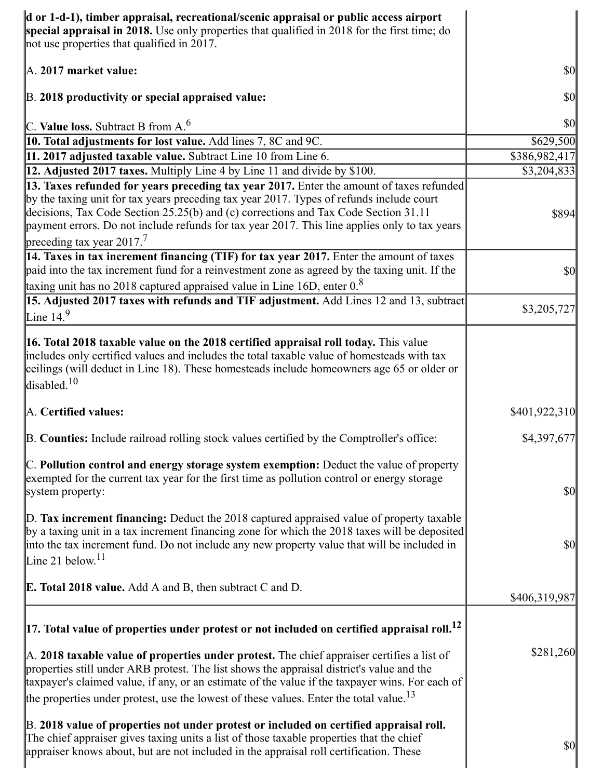| d or 1-d-1), timber appraisal, recreational/scenic appraisal or public access airport<br>special appraisal in 2018. Use only properties that qualified in 2018 for the first time; do<br>not use properties that qualified in 2017.                                                                                                                                                                                      |                                     |
|--------------------------------------------------------------------------------------------------------------------------------------------------------------------------------------------------------------------------------------------------------------------------------------------------------------------------------------------------------------------------------------------------------------------------|-------------------------------------|
| A. 2017 market value:                                                                                                                                                                                                                                                                                                                                                                                                    | \$0                                 |
| B. 2018 productivity or special appraised value:                                                                                                                                                                                                                                                                                                                                                                         | $\vert \mathbf{S} \mathbf{0} \vert$ |
| C. Value loss. Subtract B from $A6$                                                                                                                                                                                                                                                                                                                                                                                      | $ 10\rangle$                        |
| <b>10. Total adjustments for lost value.</b> Add lines 7, 8C and 9C.                                                                                                                                                                                                                                                                                                                                                     | \$629,500                           |
| 11. 2017 adjusted taxable value. Subtract Line 10 from Line 6.                                                                                                                                                                                                                                                                                                                                                           | \$386,982,417                       |
| <b>12. Adjusted 2017 taxes.</b> Multiply Line 4 by Line 11 and divide by \$100.                                                                                                                                                                                                                                                                                                                                          | \$3,204,833                         |
| 13. Taxes refunded for years preceding tax year 2017. Enter the amount of taxes refunded<br>by the taxing unit for tax years preceding tax year 2017. Types of refunds include court<br>decisions, Tax Code Section 25.25(b) and (c) corrections and Tax Code Section 31.11<br>payment errors. Do not include refunds for tax year 2017. This line applies only to tax years<br>preceding tax year $2017$ . <sup>7</sup> | \$894                               |
| 14. Taxes in tax increment financing (TIF) for tax year 2017. Enter the amount of taxes<br>paid into the tax increment fund for a reinvestment zone as agreed by the taxing unit. If the<br>taxing unit has no $2018$ captured appraised value in Line 16D, enter $0.8$                                                                                                                                                  | \$0                                 |
| 15. Adjusted 2017 taxes with refunds and TIF adjustment. Add Lines 12 and 13, subtract<br>Line $14.9$                                                                                                                                                                                                                                                                                                                    | \$3,205,727                         |
| <b>16. Total 2018 taxable value on the 2018 certified appraisal roll today.</b> This value<br>includes only certified values and includes the total taxable value of homesteads with tax<br>ceilings (will deduct in Line 18). These homesteads include homeowners age 65 or older or<br>disabled. <sup>10</sup>                                                                                                         |                                     |
| A. Certified values:                                                                                                                                                                                                                                                                                                                                                                                                     | \$401,922,310                       |
| B. Counties: Include railroad rolling stock values certified by the Comptroller's office:                                                                                                                                                                                                                                                                                                                                | \$4,397,677                         |
| C. Pollution control and energy storage system exemption: Deduct the value of property<br>exempted for the current tax year for the first time as pollution control or energy storage<br>system property:                                                                                                                                                                                                                | $\vert \mathbf{S} \mathbf{0} \vert$ |
| $\mathbb{D}$ . Tax increment financing: Deduct the 2018 captured appraised value of property taxable<br>by a taxing unit in a tax increment financing zone for which the 2018 taxes will be deposited<br>into the tax increment fund. Do not include any new property value that will be included in<br>Line 21 below. $11$                                                                                              | $\vert \mathbf{S} \mathbf{O} \vert$ |
| <b>E. Total 2018 value.</b> Add A and B, then subtract C and D.                                                                                                                                                                                                                                                                                                                                                          | \$406,319,987                       |
| $\vert$ 17. Total value of properties under protest or not included on certified appraisal roll. <sup>12</sup>                                                                                                                                                                                                                                                                                                           |                                     |
| A. 2018 taxable value of properties under protest. The chief appraiser certifies a list of<br>properties still under ARB protest. The list shows the appraisal district's value and the<br>taxpayer's claimed value, if any, or an estimate of the value if the taxpayer wins. For each of<br>the properties under protest, use the lowest of these values. Enter the total value. <sup>13</sup>                         | \$281,260                           |
| B. 2018 value of properties not under protest or included on certified appraisal roll.<br>The chief appraiser gives taxing units a list of those taxable properties that the chief<br>appraiser knows about, but are not included in the appraisal roll certification. These                                                                                                                                             | $\vert \mathbf{S} \mathbf{O} \vert$ |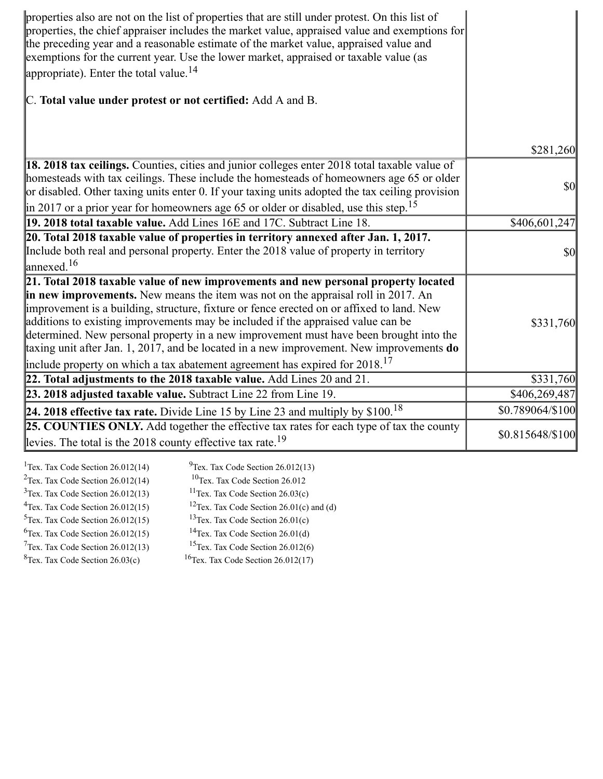| properties also are not on the list of properties that are still under protest. On this list of<br>properties, the chief appraiser includes the market value, appraised value and exemptions for<br>the preceding year and a reasonable estimate of the market value, appraised value and<br>exemptions for the current year. Use the lower market, appraised or taxable value (as<br>appropriate). Enter the total value. $^{14}$                                                                                                                                                                                                          |                  |
|---------------------------------------------------------------------------------------------------------------------------------------------------------------------------------------------------------------------------------------------------------------------------------------------------------------------------------------------------------------------------------------------------------------------------------------------------------------------------------------------------------------------------------------------------------------------------------------------------------------------------------------------|------------------|
| C. Total value under protest or not certified: Add A and B.                                                                                                                                                                                                                                                                                                                                                                                                                                                                                                                                                                                 |                  |
|                                                                                                                                                                                                                                                                                                                                                                                                                                                                                                                                                                                                                                             |                  |
|                                                                                                                                                                                                                                                                                                                                                                                                                                                                                                                                                                                                                                             | \$281,260        |
| 18. 2018 tax ceilings. Counties, cities and junior colleges enter 2018 total taxable value of<br>homesteads with tax ceilings. These include the homesteads of homeowners age 65 or older<br>or disabled. Other taxing units enter 0. If your taxing units adopted the tax ceiling provision                                                                                                                                                                                                                                                                                                                                                | <b>\$0</b>       |
| $\parallel$ in 2017 or a prior year for homeowners age 65 or older or disabled, use this step. <sup>15</sup>                                                                                                                                                                                                                                                                                                                                                                                                                                                                                                                                |                  |
| 19. 2018 total taxable value. Add Lines 16E and 17C. Subtract Line 18.                                                                                                                                                                                                                                                                                                                                                                                                                                                                                                                                                                      | \$406,601,247    |
| 20. Total 2018 taxable value of properties in territory annexed after Jan. 1, 2017.<br>Include both real and personal property. Enter the 2018 value of property in territory<br>$\lvert$ annexed. <sup>16</sup>                                                                                                                                                                                                                                                                                                                                                                                                                            | <b>\$0</b>       |
| 21. Total 2018 taxable value of new improvements and new personal property located<br>in new improvements. New means the item was not on the appraisal roll in 2017. An<br>improvement is a building, structure, fixture or fence erected on or affixed to land. New<br>additions to existing improvements may be included if the appraised value can be<br>determined. New personal property in a new improvement must have been brought into the<br>taxing unit after Jan. 1, 2017, and be located in a new improvement. New improvements $do$<br>include property on which a tax abatement agreement has expired for 2018. <sup>17</sup> | \$331,760        |
| 22. Total adjustments to the 2018 taxable value. Add Lines $20$ and $21$ .                                                                                                                                                                                                                                                                                                                                                                                                                                                                                                                                                                  | \$331,760        |
| 23. 2018 adjusted taxable value. Subtract Line 22 from Line 19.                                                                                                                                                                                                                                                                                                                                                                                                                                                                                                                                                                             | \$406,269,487    |
| 24. 2018 effective tax rate. Divide Line 15 by Line 23 and multiply by \$100. <sup>18</sup>                                                                                                                                                                                                                                                                                                                                                                                                                                                                                                                                                 | \$0.789064/\$100 |
| 25. COUNTIES ONLY. Add together the effective tax rates for each type of tax the county<br>levies. The total is the 2018 county effective tax rate. <sup>19</sup>                                                                                                                                                                                                                                                                                                                                                                                                                                                                           | \$0.815648/\$100 |

| <sup>1</sup> Tex. Tax Code Section $26.012(14)$ | $^{9}$ Tex. Tax Code Section 26.012(13)              |
|-------------------------------------------------|------------------------------------------------------|
| $2$ Tex. Tax Code Section 26.012(14)            | $10$ Tex. Tax Code Section 26.012                    |
| $3$ Tex. Tax Code Section 26.012(13)            | <sup>11</sup> Tex. Tax Code Section $26.03(c)$       |
| $4$ Tex. Tax Code Section 26.012(15)            | <sup>12</sup> Tex. Tax Code Section 26.01(c) and (d) |
| $5$ Tex. Tax Code Section 26.012(15)            | <sup>13</sup> Tex. Tax Code Section $26.01(c)$       |
| ${}^{6}$ Tex. Tax Code Section 26.012(15)       | <sup>14</sup> Tex. Tax Code Section $26.01(d)$       |
| $7$ Tex. Tax Code Section 26.012(13)            | <sup>15</sup> Tex. Tax Code Section $26.012(6)$      |
| ${}^{8}$ Tex. Tax Code Section 26.03(c)         | <sup>16</sup> Tex. Tax Code Section $26.012(17)$     |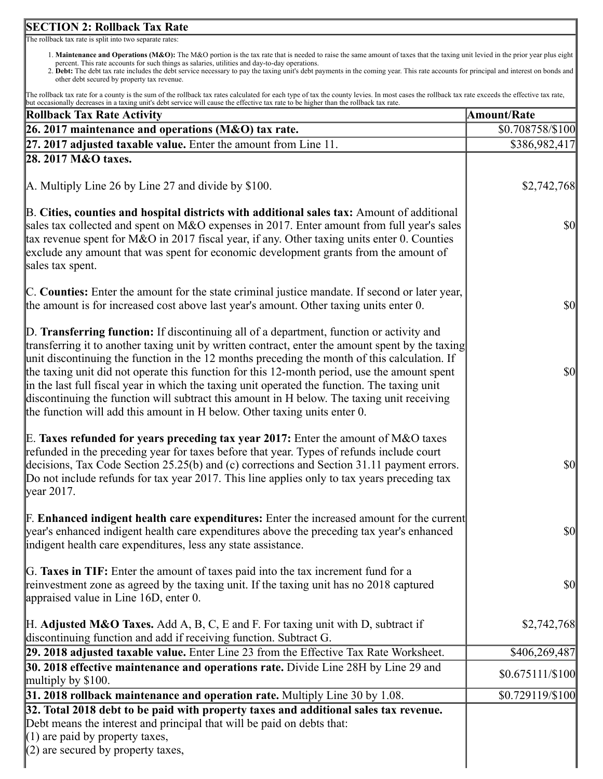# **SECTION 2: Rollback Tax Rate**

The rollback tax rate is split into two separate rates:

- 1. **Maintenance and Operations (M&O):** The M&O portion is the tax rate that is needed to raise the same amount of taxes that the taxing unit levied in the prior year plus eight percent. This rate accounts for such things as salaries, utilities and day-to-day operations.
- 2. **Debt:** The debt tax rate includes the debt service necessary to pay the taxing unit's debt payments in the coming year. This rate accounts for principal and interest on bonds and other debt secured by property tax revenue.

The rollback tax rate for a county is the sum of the rollback tax rates calculated for each type of tax the county levies. In most cases the rollback tax rate exceeds the effective tax rate, but occasionally decreases in a taxing unit's debt service will cause the effective tax rate to be higher than the rollback tax rate.

| a cocasionary decreases in a taxing anno decretor vire win cause the cricerive tax rate to be ingiler than the ronouen tax rate<br><b>Rollback Tax Rate Activity</b>                                                                                                                                                                                                                                                                                                                                                                                                                                                                                                    | <b>Amount/Rate</b>                  |
|-------------------------------------------------------------------------------------------------------------------------------------------------------------------------------------------------------------------------------------------------------------------------------------------------------------------------------------------------------------------------------------------------------------------------------------------------------------------------------------------------------------------------------------------------------------------------------------------------------------------------------------------------------------------------|-------------------------------------|
| 26. 2017 maintenance and operations (M&O) tax rate.                                                                                                                                                                                                                                                                                                                                                                                                                                                                                                                                                                                                                     | \$0.708758/\$100                    |
| $[27. 2017$ adjusted taxable value. Enter the amount from Line 11.                                                                                                                                                                                                                                                                                                                                                                                                                                                                                                                                                                                                      | \$386,982,417                       |
| 28. 2017 M&O taxes.                                                                                                                                                                                                                                                                                                                                                                                                                                                                                                                                                                                                                                                     |                                     |
| $\vert$ A. Multiply Line 26 by Line 27 and divide by \$100.                                                                                                                                                                                                                                                                                                                                                                                                                                                                                                                                                                                                             | \$2,742,768                         |
| B. Cities, counties and hospital districts with additional sales tax: Amount of additional<br>sales tax collected and spent on M&O expenses in 2017. Enter amount from full year's sales<br>tax revenue spent for M&O in 2017 fiscal year, if any. Other taxing units enter 0. Counties<br>exclude any amount that was spent for economic development grants from the amount of<br>sales tax spent.                                                                                                                                                                                                                                                                     | <b>\$0</b>                          |
| C. Counties: Enter the amount for the state criminal justice mandate. If second or later year,<br>the amount is for increased cost above last year's amount. Other taxing units enter 0.                                                                                                                                                                                                                                                                                                                                                                                                                                                                                | <b>\$0</b>                          |
| D. Transferring function: If discontinuing all of a department, function or activity and<br>transferring it to another taxing unit by written contract, enter the amount spent by the taxing<br>unit discontinuing the function in the 12 months preceding the month of this calculation. If<br>the taxing unit did not operate this function for this 12-month period, use the amount spent<br>in the last full fiscal year in which the taxing unit operated the function. The taxing unit<br>discontinuing the function will subtract this amount in H below. The taxing unit receiving<br>the function will add this amount in H below. Other taxing units enter 0. | $\frac{1}{2}$                       |
| E. Taxes refunded for years preceding tax year 2017: Enter the amount of M&O taxes<br>refunded in the preceding year for taxes before that year. Types of refunds include court<br>decisions, Tax Code Section 25.25(b) and (c) corrections and Section 31.11 payment errors.<br>Do not include refunds for tax year 2017. This line applies only to tax years preceding tax<br>$\gamma$ year 2017.                                                                                                                                                                                                                                                                     | $ 10\rangle$                        |
| F. Enhanced indigent health care expenditures: Enter the increased amount for the current<br>year's enhanced indigent health care expenditures above the preceding tax year's enhanced<br>indigent health care expenditures, less any state assistance.                                                                                                                                                                                                                                                                                                                                                                                                                 | $\vert \mathbf{S} \mathbf{0} \vert$ |
| G. Taxes in TIF: Enter the amount of taxes paid into the tax increment fund for a<br>reinvestment zone as agreed by the taxing unit. If the taxing unit has no 2018 captured<br>appraised value in Line $16D$ , enter 0.                                                                                                                                                                                                                                                                                                                                                                                                                                                | <b>\$0</b>                          |
| $H.$ Adjusted M&O Taxes. Add A, B, C, E and F. For taxing unit with D, subtract if<br>discontinuing function and add if receiving function. Subtract G.                                                                                                                                                                                                                                                                                                                                                                                                                                                                                                                 | \$2,742,768                         |
| 29. 2018 adjusted taxable value. Enter Line 23 from the Effective Tax Rate Worksheet.                                                                                                                                                                                                                                                                                                                                                                                                                                                                                                                                                                                   | \$406,269,487                       |
| 30. 2018 effective maintenance and operations rate. Divide Line 28H by Line 29 and<br>multiply by \$100.                                                                                                                                                                                                                                                                                                                                                                                                                                                                                                                                                                | $$0.675111 \times 100$              |
| 31. 2018 rollback maintenance and operation rate. Multiply Line 30 by 1.08.                                                                                                                                                                                                                                                                                                                                                                                                                                                                                                                                                                                             | \$0.729119/\$100                    |
| 32. Total 2018 debt to be paid with property taxes and additional sales tax revenue.<br>Debt means the interest and principal that will be paid on debts that:<br>$(1)$ are paid by property taxes,<br>$(2)$ are secured by property taxes,                                                                                                                                                                                                                                                                                                                                                                                                                             |                                     |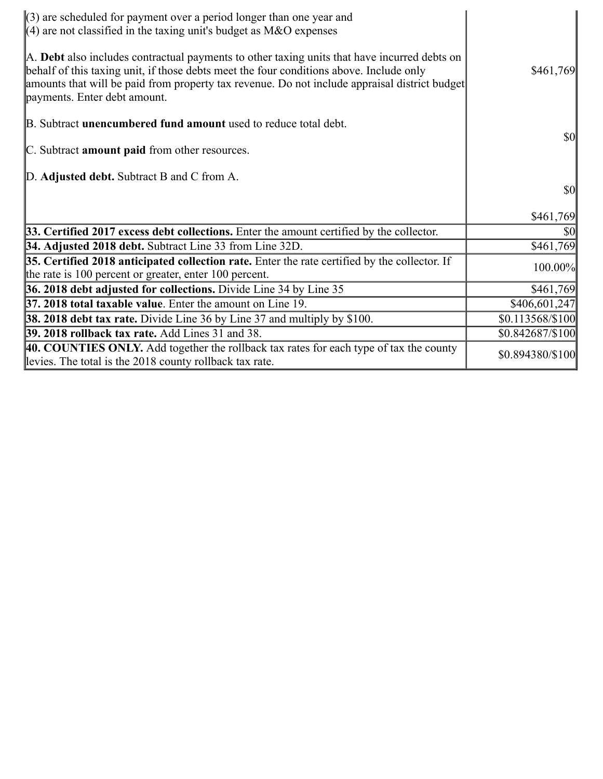| $\langle 3 \rangle$ are scheduled for payment over a period longer than one year and<br>$\parallel$ (4) are not classified in the taxing unit's budget as M&O expenses                                                                                                                                                   |                  |
|--------------------------------------------------------------------------------------------------------------------------------------------------------------------------------------------------------------------------------------------------------------------------------------------------------------------------|------------------|
| A. Debt also includes contractual payments to other taxing units that have incurred debts on<br>behalf of this taxing unit, if those debts meet the four conditions above. Include only<br>amounts that will be paid from property tax revenue. Do not include appraisal district budget<br>payments. Enter debt amount. | \$461,769        |
| B. Subtract <b>unencumbered fund amount</b> used to reduce total debt.                                                                                                                                                                                                                                                   | <b>\$0</b>       |
| C. Subtract amount paid from other resources.                                                                                                                                                                                                                                                                            |                  |
| D. Adjusted debt. Subtract B and C from A.                                                                                                                                                                                                                                                                               |                  |
|                                                                                                                                                                                                                                                                                                                          | $\frac{1}{2}$    |
|                                                                                                                                                                                                                                                                                                                          | \$461,769        |
| 33. Certified 2017 excess debt collections. Enter the amount certified by the collector.                                                                                                                                                                                                                                 | <b>\$0</b>       |
| 34. Adjusted 2018 debt. Subtract Line 33 from Line 32D.                                                                                                                                                                                                                                                                  | \$461,769        |
| 35. Certified 2018 anticipated collection rate. Enter the rate certified by the collector. If<br>the rate is 100 percent or greater, enter 100 percent.                                                                                                                                                                  | 100.00%          |
| 36. 2018 debt adjusted for collections. Divide Line 34 by Line 35                                                                                                                                                                                                                                                        | \$461,769        |
| 37. 2018 total taxable value. Enter the amount on Line 19.                                                                                                                                                                                                                                                               | \$406,601,247    |
| <b>38. 2018 debt tax rate.</b> Divide Line 36 by Line 37 and multiply by \$100.                                                                                                                                                                                                                                          | \$0.113568/\$100 |
| <b>39. 2018 rollback tax rate.</b> Add Lines 31 and 38.                                                                                                                                                                                                                                                                  | \$0.842687/\$100 |
| 40. COUNTIES ONLY. Add together the rollback tax rates for each type of tax the county<br>levies. The total is the 2018 county rollback tax rate.                                                                                                                                                                        | \$0.894380/\$100 |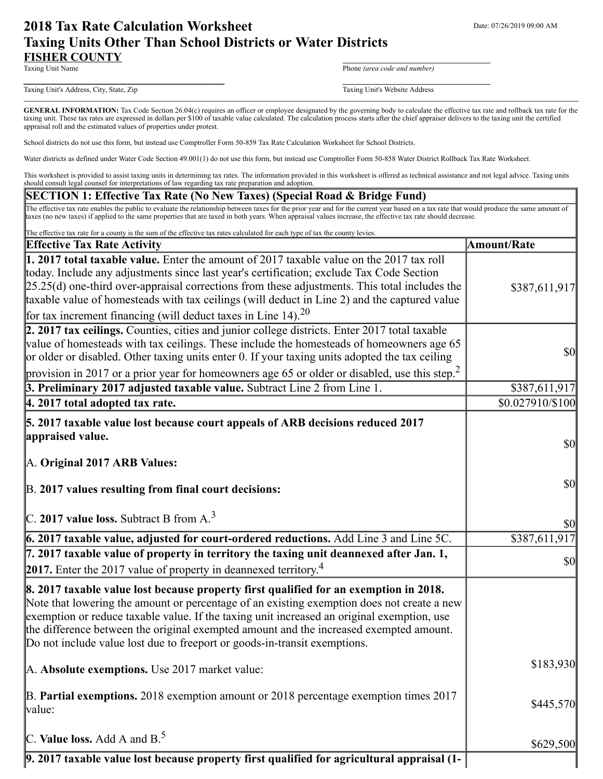# **2018 Tax Rate Calculation Worksheet** Department Date: 07/26/2019 09:00 AM **Taxing Units Other Than School Districts or Water Districts FISHER COUNTY**<br>Taxing Unit Name

Phone (area code and number)

Taxing Unit's Address, City, State, Zip Taxing Unit's Website Address

**\_\_\_\_\_\_\_\_\_\_\_\_\_\_\_\_\_\_\_\_\_\_\_\_\_\_\_\_\_\_\_\_\_\_** \_\_\_\_\_\_\_\_\_\_\_\_\_\_\_\_\_\_\_\_\_\_\_\_\_

GENERAL INFORMATION: Tax Code Section 26.04(c) requires an officer or employee designated by the governing body to calculate the effective tax rate and rollback tax rate for the taxing unit. These tax rates are expressed in dollars per \$100 of taxable value calculated. The calculation process starts after the chief appraiser delivers to the taxing unit the certified appraisal roll and the estimated values of properties under protest.

School districts do not use this form, but instead use Comptroller Form 50-859 Tax Rate Calculation Worksheet for School Districts.

Water districts as defined under Water Code Section 49.001(1) do not use this form, but instead use Comptroller Form 50-858 Water District Rollback Tax Rate Worksheet.

This worksheet is provided to assist taxing units in determining tax rates. The information provided in this worksheet is offered as technical assistance and not legal advice. Taxing units should consult legal counsel for interpretations of law regarding tax rate preparation and adoption.

#### **SECTION 1: Effective Tax Rate (No New Taxes) (Special Road & Bridge Fund)**

The effective tax rate enables the public to evaluate the relationship between taxes for the prior year and for the current year based on a tax rate that would produce the same amount of taxes (no new taxes) if applied to the same properties that are taxed in both years. When appraisal values increase, the effective tax rate should decrease.

| The effective tax rate for a county is the sum of the effective tax rates calculated for each type of tax the county levies.                                                                                                                                                                                                                                                                                                                                    |                    |
|-----------------------------------------------------------------------------------------------------------------------------------------------------------------------------------------------------------------------------------------------------------------------------------------------------------------------------------------------------------------------------------------------------------------------------------------------------------------|--------------------|
| <b>Effective Tax Rate Activity</b>                                                                                                                                                                                                                                                                                                                                                                                                                              | <b>Amount/Rate</b> |
| 1. 2017 total taxable value. Enter the amount of 2017 taxable value on the 2017 tax roll<br>today. Include any adjustments since last year's certification; exclude Tax Code Section<br>$[25.25(d)$ one-third over-appraisal corrections from these adjustments. This total includes the<br>taxable value of homesteads with tax ceilings (will deduct in Line 2) and the captured value<br>for tax increment financing (will deduct taxes in Line 14). $^{20}$ | \$387,611,917      |
| 2. 2017 tax ceilings. Counties, cities and junior college districts. Enter 2017 total taxable<br>value of homesteads with tax ceilings. These include the homesteads of homeowners age 65<br>or older or disabled. Other taxing units enter 0. If your taxing units adopted the tax ceiling<br>provision in 2017 or a prior year for homeowners age 65 or older or disabled, use this step. <sup>2</sup>                                                        | \$0                |
| 3. Preliminary 2017 adjusted taxable value. Subtract Line 2 from Line 1.                                                                                                                                                                                                                                                                                                                                                                                        | \$387,611,917      |
| $ 4.2017$ total adopted tax rate.                                                                                                                                                                                                                                                                                                                                                                                                                               | \$0.027910/\$100   |
| 5. 2017 taxable value lost because court appeals of ARB decisions reduced 2017<br>appraised value.<br>A. Original 2017 ARB Values:<br>B. 2017 values resulting from final court decisions:                                                                                                                                                                                                                                                                      | \$0<br>\$0         |
| $C. 2017$ value loss. Subtract B from A. <sup>3</sup>                                                                                                                                                                                                                                                                                                                                                                                                           | \$0                |
| $6.2017$ taxable value, adjusted for court-ordered reductions. Add Line $3$ and Line 5C.                                                                                                                                                                                                                                                                                                                                                                        | \$387,611,917      |
| 7. 2017 taxable value of property in territory the taxing unit deannexed after Jan. 1,<br>2017. Enter the 2017 value of property in deannexed territory. <sup>4</sup>                                                                                                                                                                                                                                                                                           | \$0                |
| 8. 2017 taxable value lost because property first qualified for an exemption in 2018.<br>Note that lowering the amount or percentage of an existing exemption does not create a new<br>exemption or reduce taxable value. If the taxing unit increased an original exemption, use<br>the difference between the original exempted amount and the increased exempted amount.<br>Do not include value lost due to freeport or goods-in-transit exemptions.        |                    |
| A. Absolute exemptions. Use 2017 market value:                                                                                                                                                                                                                                                                                                                                                                                                                  | \$183,930          |
| B. Partial exemptions. 2018 exemption amount or 2018 percentage exemption times $2017$<br>value:                                                                                                                                                                                                                                                                                                                                                                | \$445,570          |
| C. Value loss. Add A and $B^5$                                                                                                                                                                                                                                                                                                                                                                                                                                  | \$629,500          |
| 9. 2017 taxable value lost because property first qualified for agricultural appraisal (1-                                                                                                                                                                                                                                                                                                                                                                      |                    |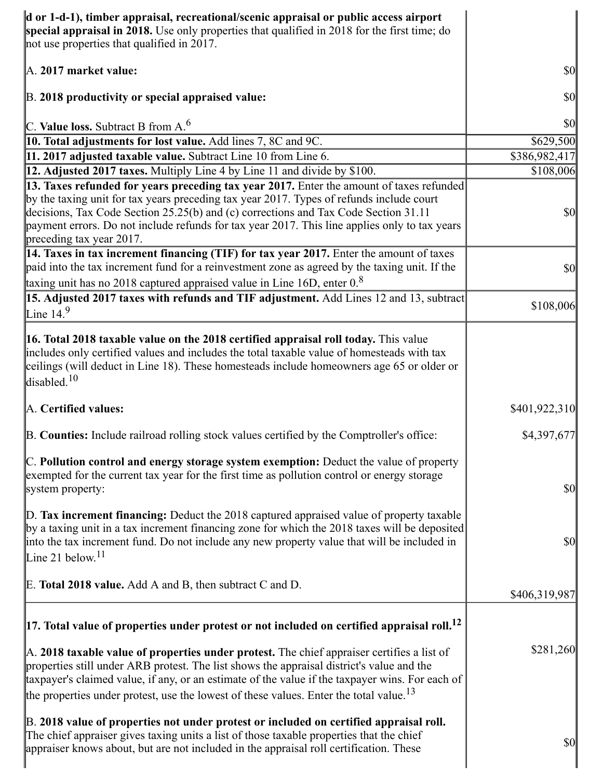| d or 1-d-1), timber appraisal, recreational/scenic appraisal or public access airport<br>special appraisal in 2018. Use only properties that qualified in 2018 for the first time; do<br>not use properties that qualified in 2017.                                                                                                                                                                         |                                     |
|-------------------------------------------------------------------------------------------------------------------------------------------------------------------------------------------------------------------------------------------------------------------------------------------------------------------------------------------------------------------------------------------------------------|-------------------------------------|
| A. 2017 market value:                                                                                                                                                                                                                                                                                                                                                                                       | <b>\$0</b>                          |
| B. 2018 productivity or special appraised value:                                                                                                                                                                                                                                                                                                                                                            | <b>\$0</b>                          |
| C. Value loss. Subtract B from $A6$                                                                                                                                                                                                                                                                                                                                                                         | <b>\$0</b>                          |
| 10. Total adjustments for lost value. Add lines 7, 8C and 9C.                                                                                                                                                                                                                                                                                                                                               | \$629,500                           |
| 11. 2017 adjusted taxable value. Subtract Line 10 from Line 6.                                                                                                                                                                                                                                                                                                                                              | \$386,982,417                       |
| 12. Adjusted 2017 taxes. Multiply Line 4 by Line 11 and divide by \$100.                                                                                                                                                                                                                                                                                                                                    | \$108,006                           |
| 13. Taxes refunded for years preceding tax year 2017. Enter the amount of taxes refunded<br>by the taxing unit for tax years preceding tax year 2017. Types of refunds include court<br>decisions, Tax Code Section 25.25(b) and (c) corrections and Tax Code Section 31.11<br>payment errors. Do not include refunds for tax year 2017. This line applies only to tax years<br>preceding tax year 2017.    | <b>\$0</b>                          |
| 14. Taxes in tax increment financing (TIF) for tax year 2017. Enter the amount of taxes<br>paid into the tax increment fund for a reinvestment zone as agreed by the taxing unit. If the<br>taxing unit has no 2018 captured appraised value in Line 16D, enter $0.8$                                                                                                                                       | $\vert \mathbf{S} \mathbf{O} \vert$ |
| 15. Adjusted 2017 taxes with refunds and TIF adjustment. Add Lines 12 and 13, subtract<br>Line $14.9$                                                                                                                                                                                                                                                                                                       | \$108,006                           |
| <b>16. Total 2018 taxable value on the 2018 certified appraisal roll today.</b> This value<br>includes only certified values and includes the total taxable value of homesteads with tax<br>ceilings (will deduct in Line 18). These homesteads include homeowners age 65 or older or<br>disabled. <sup>10</sup>                                                                                            |                                     |
| A. Certified values:                                                                                                                                                                                                                                                                                                                                                                                        | \$401,922,310                       |
| B. Counties: Include railroad rolling stock values certified by the Comptroller's office:                                                                                                                                                                                                                                                                                                                   | \$4,397,677                         |
| C. Pollution control and energy storage system exemption: Deduct the value of property<br>exempted for the current tax year for the first time as pollution control or energy storage<br>system property:                                                                                                                                                                                                   | <b>\$0</b>                          |
| D. Tax increment financing: Deduct the 2018 captured appraised value of property taxable<br>by a taxing unit in a tax increment financing zone for which the 2018 taxes will be deposited<br>into the tax increment fund. Do not include any new property value that will be included in<br>Line 21 below. $11$                                                                                             | <b>\$0</b>                          |
| E. Total 2018 value. Add A and B, then subtract C and D.                                                                                                                                                                                                                                                                                                                                                    | \$406,319,987                       |
| $\vert$ 17. Total value of properties under protest or not included on certified appraisal roll. <sup>12</sup>                                                                                                                                                                                                                                                                                              |                                     |
| $\mathbb A$ . 2018 taxable value of properties under protest. The chief appraiser certifies a list of<br>properties still under ARB protest. The list shows the appraisal district's value and the<br>taxpayer's claimed value, if any, or an estimate of the value if the taxpayer wins. For each of<br>the properties under protest, use the lowest of these values. Enter the total value. <sup>13</sup> | \$281,260                           |
| B. 2018 value of properties not under protest or included on certified appraisal roll.<br>The chief appraiser gives taxing units a list of those taxable properties that the chief<br>appraiser knows about, but are not included in the appraisal roll certification. These                                                                                                                                | $\vert \mathbf{S} \mathbf{O} \vert$ |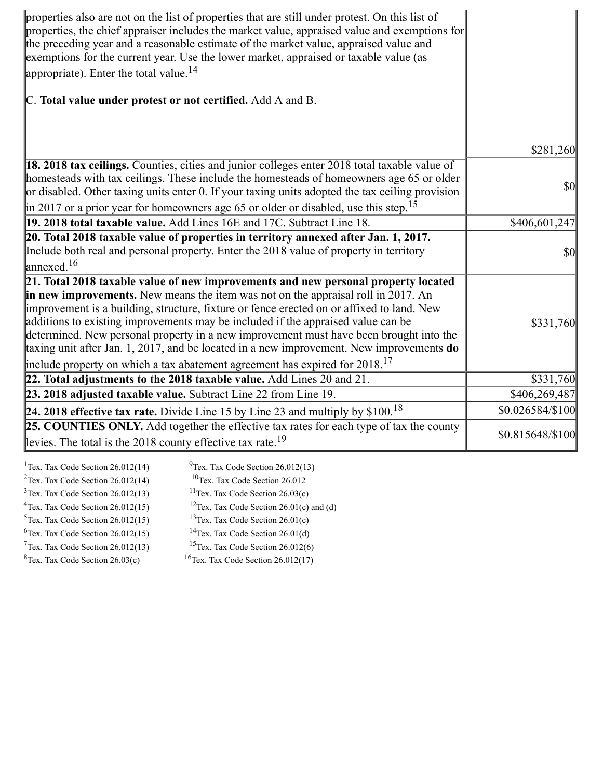| properties also are not on the list of properties that are still under protest. On this list of<br>properties, the chief appraiser includes the market value, appraised value and exemptions for<br>the preceding year and a reasonable estimate of the market value, appraised value and<br>exemptions for the current year. Use the lower market, appraised or taxable value (as<br>appropriate). Enter the total value. $^{14}$                                                                                                                                                                                                          |                  |
|---------------------------------------------------------------------------------------------------------------------------------------------------------------------------------------------------------------------------------------------------------------------------------------------------------------------------------------------------------------------------------------------------------------------------------------------------------------------------------------------------------------------------------------------------------------------------------------------------------------------------------------------|------------------|
| C. Total value under protest or not certified. Add A and B.                                                                                                                                                                                                                                                                                                                                                                                                                                                                                                                                                                                 |                  |
|                                                                                                                                                                                                                                                                                                                                                                                                                                                                                                                                                                                                                                             |                  |
|                                                                                                                                                                                                                                                                                                                                                                                                                                                                                                                                                                                                                                             | \$281,260        |
| 18. 2018 tax ceilings. Counties, cities and junior colleges enter 2018 total taxable value of<br>homesteads with tax ceilings. These include the homesteads of homeowners age 65 or older<br>or disabled. Other taxing units enter 0. If your taxing units adopted the tax ceiling provision                                                                                                                                                                                                                                                                                                                                                | <b>\$0</b>       |
| $\left  \text{in } 2017 \text{ or a prior year for home owners age 65 or older or disabled, use this step.} \right $                                                                                                                                                                                                                                                                                                                                                                                                                                                                                                                        |                  |
| 19. 2018 total taxable value. Add Lines 16E and 17C. Subtract Line 18.                                                                                                                                                                                                                                                                                                                                                                                                                                                                                                                                                                      | \$406,601,247    |
| 20. Total 2018 taxable value of properties in territory annexed after Jan. 1, 2017.<br>Include both real and personal property. Enter the 2018 value of property in territory<br>annexed. <sup>16</sup>                                                                                                                                                                                                                                                                                                                                                                                                                                     | <b>\$0</b>       |
| 21. Total 2018 taxable value of new improvements and new personal property located<br>in new improvements. New means the item was not on the appraisal roll in 2017. An<br>improvement is a building, structure, fixture or fence erected on or affixed to land. New<br>additions to existing improvements may be included if the appraised value can be<br>determined. New personal property in a new improvement must have been brought into the<br>taxing unit after Jan. 1, 2017, and be located in a new improvement. New improvements $do$<br>include property on which a tax abatement agreement has expired for 2018. <sup>17</sup> | \$331,760        |
| 22. Total adjustments to the 2018 taxable value. Add Lines $20$ and $21$ .                                                                                                                                                                                                                                                                                                                                                                                                                                                                                                                                                                  | \$331,760        |
| 23. 2018 adjusted taxable value. Subtract Line 22 from Line 19.                                                                                                                                                                                                                                                                                                                                                                                                                                                                                                                                                                             | \$406,269,487    |
| 24. 2018 effective tax rate. Divide Line 15 by Line 23 and multiply by $$100.18$                                                                                                                                                                                                                                                                                                                                                                                                                                                                                                                                                            | \$0.026584/\$100 |
| 25. COUNTIES ONLY. Add together the effective tax rates for each type of tax the county<br>levies. The total is the 2018 county effective tax rate. <sup>19</sup>                                                                                                                                                                                                                                                                                                                                                                                                                                                                           | \$0.815648/\$100 |

| <sup>1</sup> Tex. Tax Code Section $26.012(14)$ | $^{9}$ Tex. Tax Code Section 26.012(13)              |
|-------------------------------------------------|------------------------------------------------------|
| $2$ Tex. Tax Code Section 26.012(14)            | $10$ Tex. Tax Code Section 26.012                    |
| $3$ Tex. Tax Code Section 26.012(13)            | <sup>11</sup> Tex. Tax Code Section $26.03(c)$       |
| $4$ Tex. Tax Code Section 26.012(15)            | <sup>12</sup> Tex. Tax Code Section 26.01(c) and (d) |
| $5$ Tex. Tax Code Section 26.012(15)            | <sup>13</sup> Tex. Tax Code Section $26.01(c)$       |
| ${}^{6}$ Tex. Tax Code Section 26.012(15)       | <sup>14</sup> Tex. Tax Code Section $26.01(d)$       |
| $7$ Tex. Tax Code Section 26.012(13)            | <sup>15</sup> Tex. Tax Code Section $26.012(6)$      |
| ${}^{8}$ Tex. Tax Code Section 26.03(c)         | <sup>16</sup> Tex. Tax Code Section $26.012(17)$     |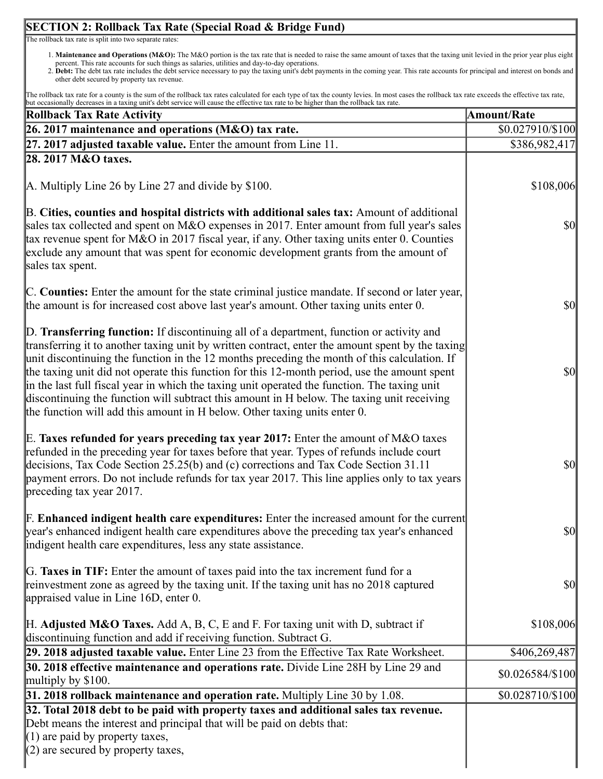### **SECTION 2: Rollback Tax Rate (Special Road & Bridge Fund)** https://actweb.acttax.com/tnt/application/reports/1564149635739.html 9/12 The rollback tax rate is split into two separate rates: 1. **Maintenance and Operations (M&O):** The M&O portion is the tax rate that is needed to raise the same amount of taxes that the taxing unit levied in the prior year plus eight percent. This rate accounts for such things as salaries, utilities and day-to-day operations. 2. **Debt:** The debt tax rate includes the debt service necessary to pay the taxing unit's debt payments in the coming year. This rate accounts for principal and interest on bonds and other debt secured by property tax revenue. The rollback tax rate for a county is the sum of the rollback tax rates calculated for each type of tax the county levies. In most cases the rollback tax rate exceeds the effective tax rate, but occasionally decreases in a taxing unit's debt service will cause the effective tax rate to be higher than the rollback tax rate. **Rollback Tax Rate Activity Amount/Rate 26. 2017 maintenance and operations (M&O) tax rate.** \$0.027910/\$100 **27. 2017 adjusted taxable value.** Enter the amount from Line 11. S386,982,417 **28. 2017 M&O taxes.** A. Multiply Line 26 by Line 27 and divide by \$100. B. **Cities, counties and hospital districts with additional sales tax:** Amount of additional sales tax collected and spent on M&O expenses in 2017. Enter amount from full year's sales tax revenue spent for M&O in 2017 fiscal year, if any. Other taxing units enter 0. Counties exclude any amount that was spent for economic development grants from the amount of sales tax spent. C. **Counties:** Enter the amount for the state criminal justice mandate. If second or later year, the amount is for increased cost above last year's amount. Other taxing units enter 0. D. **Transferring function:** If discontinuing all of a department, function or activity and transferring it to another taxing unit by written contract, enter the amount spent by the taxing unit discontinuing the function in the 12 months preceding the month of this calculation. If the taxing unit did not operate this function for this 12-month period, use the amount spent in the last full fiscal year in which the taxing unit operated the function. The taxing unit discontinuing the function will subtract this amount in H below. The taxing unit receiving the function will add this amount in H below. Other taxing units enter 0. E. **Taxes refunded for years preceding tax year 2017:** Enter the amount of M&O taxes refunded in the preceding year for taxes before that year. Types of refunds include court decisions, Tax Code Section 25.25(b) and (c) corrections and Tax Code Section 31.11 payment errors. Do not include refunds for tax year 2017. This line applies only to tax years preceding tax year 2017. F. **Enhanced indigent health care expenditures:** Enter the increased amount for the current year's enhanced indigent health care expenditures above the preceding tax year's enhanced indigent health care expenditures, less any state assistance. G. **Taxes in TIF:** Enter the amount of taxes paid into the tax increment fund for a reinvestment zone as agreed by the taxing unit. If the taxing unit has no 2018 captured appraised value in Line 16D, enter 0. H. **Adjusted M&O Taxes.** Add A, B, C, E and F. For taxing unit with D, subtract if discontinuing function and add if receiving function. Subtract G. \$108,006 \$0 \$0 \$0 \$0 \$0 \$0 \$108,006 **29. 2018 adjusted taxable value.** Enter Line 23 from the Effective Tax Rate Worksheet. \$406,269,487 **30. 2018 effective maintenance and operations rate.** Divide Line 28H by Line 29 and \$0.026584/\$100 multiply by \$100. **31. 2018 rollback maintenance and operation rate.** Multiply Line 30 by 1.08.  $\qquad \qquad$  \$0.028710/\$100 **32. Total 2018 debt to be paid with property taxes and additional sales tax revenue.** Debt means the interest and principal that will be paid on debts that: (1) are paid by property taxes,  $(2)$  are secured by property taxes,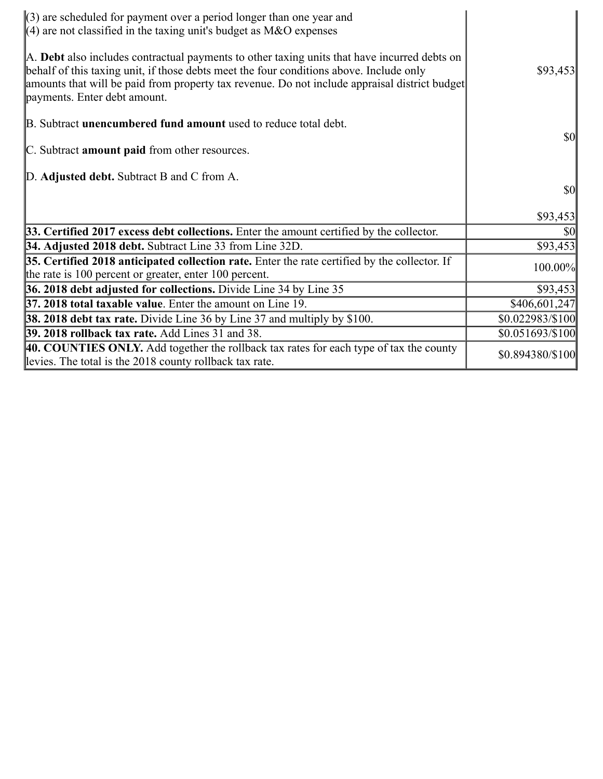| $\langle 3 \rangle$ are scheduled for payment over a period longer than one year and<br>$\parallel$ (4) are not classified in the taxing unit's budget as M&O expenses                                                                                                                                                   |                  |
|--------------------------------------------------------------------------------------------------------------------------------------------------------------------------------------------------------------------------------------------------------------------------------------------------------------------------|------------------|
| A. Debt also includes contractual payments to other taxing units that have incurred debts on<br>behalf of this taxing unit, if those debts meet the four conditions above. Include only<br>amounts that will be paid from property tax revenue. Do not include appraisal district budget<br>payments. Enter debt amount. | \$93,453         |
| B. Subtract <b>unencumbered fund amount</b> used to reduce total debt.                                                                                                                                                                                                                                                   |                  |
| C. Subtract amount paid from other resources.                                                                                                                                                                                                                                                                            | <b>\$0</b>       |
| D. Adjusted debt. Subtract B and C from A.                                                                                                                                                                                                                                                                               |                  |
|                                                                                                                                                                                                                                                                                                                          | $\frac{1}{2}$    |
|                                                                                                                                                                                                                                                                                                                          | \$93,453         |
| 33. Certified 2017 excess debt collections. Enter the amount certified by the collector.                                                                                                                                                                                                                                 | <b>\$0</b>       |
| 34. Adjusted 2018 debt. Subtract Line 33 from Line 32D.                                                                                                                                                                                                                                                                  | \$93,453         |
| 35. Certified 2018 anticipated collection rate. Enter the rate certified by the collector. If<br>the rate is 100 percent or greater, enter 100 percent.                                                                                                                                                                  | 100.00%          |
| 36. 2018 debt adjusted for collections. Divide Line 34 by Line 35                                                                                                                                                                                                                                                        | \$93,453         |
| 37. 2018 total taxable value. Enter the amount on Line 19.                                                                                                                                                                                                                                                               | \$406,601,247    |
| <b>38. 2018 debt tax rate.</b> Divide Line 36 by Line 37 and multiply by \$100.                                                                                                                                                                                                                                          | \$0.022983/\$100 |
| <b>39. 2018 rollback tax rate.</b> Add Lines 31 and 38.                                                                                                                                                                                                                                                                  | \$0.051693/\$100 |
| 40. COUNTIES ONLY. Add together the rollback tax rates for each type of tax the county<br>levies. The total is the 2018 county rollback tax rate.                                                                                                                                                                        | \$0.894380/\$100 |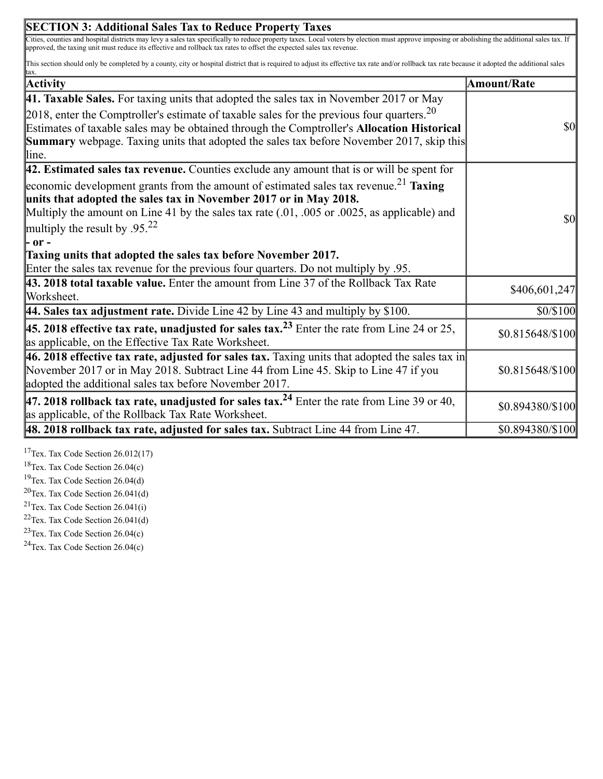| Cities, counties and hospital districts may levy a sales tax specifically to reduce property taxes. Local voters by election must approve imposing or abolishing the additional sales tax. If<br>This section should only be completed by a county, city or hospital district that is required to adjust its effective tax rate and/or rollback tax rate because it adopted the additional sales<br><b>Amount/Rate</b><br><b>Summary</b> webpage. Taxing units that adopted the sales tax before November 2017, skip this<br> - or -<br>Taxing units that adopted the sales tax before November 2017.<br>$ 46.2018$ effective tax rate, adjusted for sales tax. Taxing units that adopted the sales tax in | <b>SECTION 3: Additional Sales Tax to Reduce Property Taxes</b>                                                                                                                                                                                                                                                          |                  |
|------------------------------------------------------------------------------------------------------------------------------------------------------------------------------------------------------------------------------------------------------------------------------------------------------------------------------------------------------------------------------------------------------------------------------------------------------------------------------------------------------------------------------------------------------------------------------------------------------------------------------------------------------------------------------------------------------------|--------------------------------------------------------------------------------------------------------------------------------------------------------------------------------------------------------------------------------------------------------------------------------------------------------------------------|------------------|
|                                                                                                                                                                                                                                                                                                                                                                                                                                                                                                                                                                                                                                                                                                            | approved, the taxing unit must reduce its effective and rollback tax rates to offset the expected sales tax revenue.                                                                                                                                                                                                     |                  |
|                                                                                                                                                                                                                                                                                                                                                                                                                                                                                                                                                                                                                                                                                                            |                                                                                                                                                                                                                                                                                                                          |                  |
|                                                                                                                                                                                                                                                                                                                                                                                                                                                                                                                                                                                                                                                                                                            | <b>Activity</b>                                                                                                                                                                                                                                                                                                          |                  |
|                                                                                                                                                                                                                                                                                                                                                                                                                                                                                                                                                                                                                                                                                                            | 41. Taxable Sales. For taxing units that adopted the sales tax in November 2017 or May                                                                                                                                                                                                                                   |                  |
|                                                                                                                                                                                                                                                                                                                                                                                                                                                                                                                                                                                                                                                                                                            | 2018, enter the Comptroller's estimate of taxable sales for the previous four quarters. $20$<br>Estimates of taxable sales may be obtained through the Comptroller's Allocation Historical<br>lline.                                                                                                                     | $\sqrt{50}$      |
|                                                                                                                                                                                                                                                                                                                                                                                                                                                                                                                                                                                                                                                                                                            | $\vert$ 42. Estimated sales tax revenue. Counties exclude any amount that is or will be spent for                                                                                                                                                                                                                        |                  |
|                                                                                                                                                                                                                                                                                                                                                                                                                                                                                                                                                                                                                                                                                                            | economic development grants from the amount of estimated sales tax revenue. <sup>21</sup> Taxing<br>units that adopted the sales tax in November 2017 or in May 2018.<br>Multiply the amount on Line 41 by the sales tax rate $(.01, .005)$ or $.0025$ , as applicable) and<br>multiply the result by .95. <sup>22</sup> | $\sqrt{50}$      |
|                                                                                                                                                                                                                                                                                                                                                                                                                                                                                                                                                                                                                                                                                                            |                                                                                                                                                                                                                                                                                                                          |                  |
|                                                                                                                                                                                                                                                                                                                                                                                                                                                                                                                                                                                                                                                                                                            | Enter the sales tax revenue for the previous four quarters. Do not multiply by .95.                                                                                                                                                                                                                                      |                  |
|                                                                                                                                                                                                                                                                                                                                                                                                                                                                                                                                                                                                                                                                                                            | 43. 2018 total taxable value. Enter the amount from Line 37 of the Rollback Tax Rate<br>Worksheet.                                                                                                                                                                                                                       | \$406,601,247    |
|                                                                                                                                                                                                                                                                                                                                                                                                                                                                                                                                                                                                                                                                                                            | 44. Sales tax adjustment rate. Divide Line 42 by Line 43 and multiply by \$100.                                                                                                                                                                                                                                          | \$0/\$100        |
|                                                                                                                                                                                                                                                                                                                                                                                                                                                                                                                                                                                                                                                                                                            | <b>45. 2018 effective tax rate, unadjusted for sales tax.</b> <sup>23</sup> Enter the rate from Line 24 or 25,<br>as applicable, on the Effective Tax Rate Worksheet.                                                                                                                                                    | \$0.815648/\$100 |
|                                                                                                                                                                                                                                                                                                                                                                                                                                                                                                                                                                                                                                                                                                            | November 2017 or in May 2018. Subtract Line 44 from Line 45. Skip to Line 47 if you<br>adopted the additional sales tax before November 2017.                                                                                                                                                                            | \$0.815648/\$100 |
|                                                                                                                                                                                                                                                                                                                                                                                                                                                                                                                                                                                                                                                                                                            | 47. 2018 rollback tax rate, unadjusted for sales tax. <sup>24</sup> Enter the rate from Line 39 or 40,<br>as applicable, of the Rollback Tax Rate Worksheet.                                                                                                                                                             | \$0.894380/\$100 |
|                                                                                                                                                                                                                                                                                                                                                                                                                                                                                                                                                                                                                                                                                                            | $\vert$ 48. 2018 rollback tax rate, adjusted for sales tax. Subtract Line 44 from Line 47.                                                                                                                                                                                                                               | \$0.894380/\$100 |

 $\overline{\mathbf{1}}$ 

<sup>17</sup>Tex. Tax Code Section  $26.012(17)$ 

<sup>18</sup>Tex. Tax Code Section  $26.04(c)$ 

<sup>19</sup>Tex. Tax Code Section  $26.04(d)$ 

 $20$ Tex. Tax Code Section 26.041(d)

<sup>21</sup>Tex. Tax Code Section  $26.041(i)$ 

 $22$ Tex. Tax Code Section 26.041(d)

<sup>23</sup>Tex. Tax Code Section  $26.04(c)$ 

<sup>24</sup>Tex. Tax Code Section  $26.04(c)$